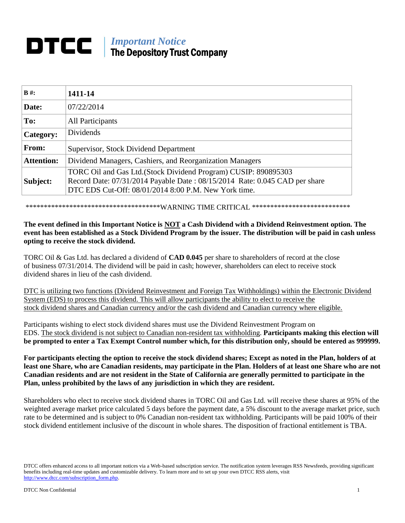# **DTCC** | *Important Notice* The Depository Trust Company

| $B#$ :            | 1411-14                                                                                                                                       |
|-------------------|-----------------------------------------------------------------------------------------------------------------------------------------------|
| Date:             | 07/22/2014                                                                                                                                    |
| To:               | All Participants                                                                                                                              |
| Category:         | <b>Dividends</b>                                                                                                                              |
| From:             | Supervisor, Stock Dividend Department                                                                                                         |
| <b>Attention:</b> | Dividend Managers, Cashiers, and Reorganization Managers                                                                                      |
| Subject:          | TORC Oil and Gas Ltd. (Stock Dividend Program) CUSIP: 890895303<br>Record Date: 07/31/2014 Payable Date: 08/15/2014 Rate: 0.045 CAD per share |
|                   | DTC EDS Cut-Off: 08/01/2014 8:00 P.M. New York time.                                                                                          |

\*\*\*\*\*\*\*\*\*\*\*\*\*\*\*\*\*\*\*\*\*\*\*\*\*\*\*\*\*\*\*\*\*\*\*\*\*WARNING TIME CRITICAL \*\*\*\*\*\*\*\*\*\*\*\*\*\*\*\*\*\*\*\*\*\*\*\*\*\*\*

## **The event defined in this Important Notice is NOT a Cash Dividend with a Dividend Reinvestment option. The event has been established as a Stock Dividend Program by the issuer. The distribution will be paid in cash unless opting to receive the stock dividend.**

TORC Oil & Gas Ltd. has declared a dividend of **CAD 0.045** per share to shareholders of record at the close of business 07/31/2014. The dividend will be paid in cash; however, shareholders can elect to receive stock dividend shares in lieu of the cash dividend.

DTC is utilizing two functions (Dividend Reinvestment and Foreign Tax Withholdings) within the Electronic Dividend System (EDS) to process this dividend. This will allow participants the ability to elect to receive the stock dividend shares and Canadian currency and/or the cash dividend and Canadian currency where eligible.

Participants wishing to elect stock dividend shares must use the Dividend Reinvestment Program on EDS. The stock dividend is not subject to Canadian non-resident tax withholding. **Participants making this election will be prompted to enter a Tax Exempt Control number which, for this distribution only, should be entered as 999999.**

**For participants electing the option to receive the stock dividend shares; Except as noted in the Plan, holders of at least one Share, who are Canadian residents, may participate in the Plan. Holders of at least one Share who are not Canadian residents and are not resident in the State of California are generally permitted to participate in the Plan, unless prohibited by the laws of any jurisdiction in which they are resident.**

Shareholders who elect to receive stock dividend shares in TORC Oil and Gas Ltd. will receive these shares at 95% of the weighted average market price calculated 5 days before the payment date, a 5% discount to the average market price, such rate to be determined and is subject to 0% Canadian non-resident tax withholding. Participants will be paid 100% of their stock dividend entitlement inclusive of the discount in whole shares. The disposition of fractional entitlement is TBA.

DTCC offers enhanced access to all important notices via a Web-based subscription service. The notification system leverages RSS Newsfeeds, providing significant benefits including real-time updates and customizable delivery. To learn more and to set up your own DTCC RSS alerts, visit http://www.dtcc.com/subscription\_form.php.